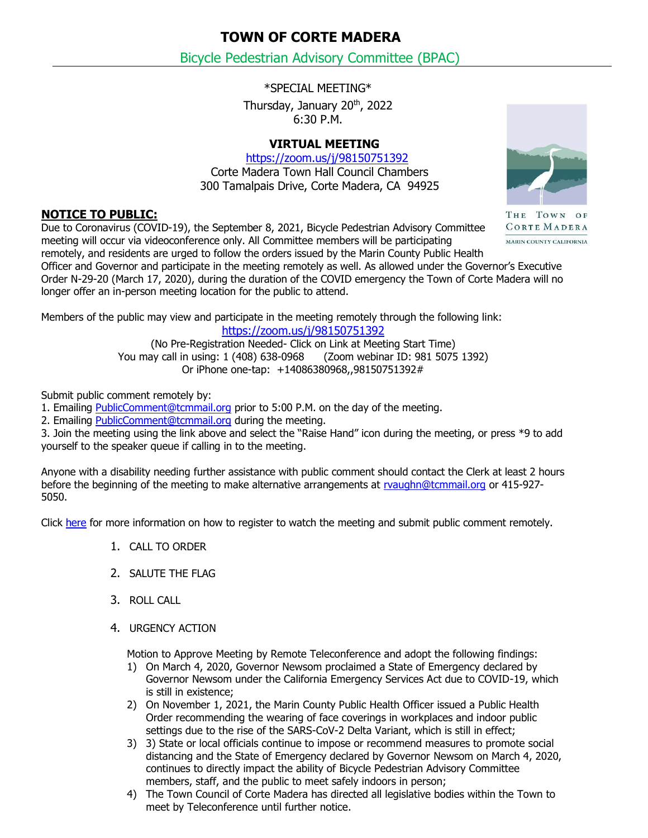**TOWN OF CORTE MADERA**

Bicycle Pedestrian Advisory Committee (BPAC)

\*SPECIAL MEETING\*

Thursday, January 20th, 2022 6:30 P.M.

## **VIRTUAL MEETING**

<https://zoom.us/j/98150751392> Corte Madera Town Hall Council Chambers 300 Tamalpais Drive, Corte Madera, CA 94925

## **NOTICE TO PUBLIC:**

THE TOWN OF CORTE MADERA MARIN COUNTY CALIFORNIA

Due to Coronavirus (COVID-19), the September 8, 2021, Bicycle Pedestrian Advisory Committee meeting will occur via videoconference only. All Committee members will be participating remotely, and residents are urged to follow the orders issued by the Marin County Public Health

Officer and Governor and participate in the meeting remotely as well. As allowed under the Governor's Executive Order N-29-20 (March 17, 2020), during the duration of the COVID emergency the Town of Corte Madera will no longer offer an in-person meeting location for the public to attend.

Members of the public may view and participate in the meeting remotely through the following link: <https://zoom.us/j/98150751392>

> (No Pre-Registration Needed- Click on Link at Meeting Start Time) You may call in using: 1 (408) 638-0968 (Zoom webinar ID: 981 5075 1392) Or iPhone one-tap: +14086380968,,98150751392#

Submit public comment remotely by:

1. Emailing [PublicComment@tcmmail.org](mailto:PublicComment@tcmmail.org) prior to 5:00 P.M. on the day of the meeting.

2. Emailing [PublicComment@tcmmail.org](mailto:PublicComment@tcmmail.org) during the meeting.

3. Join the meeting using the link above and select the "Raise Hand" icon during the meeting, or press \*9 to add yourself to the speaker queue if calling in to the meeting.

Anyone with a disability needing further assistance with public comment should contact the Clerk at least 2 hours before the beginning of the meeting to make alternative arrangements at [rvaughn@tcmmail.org](mailto:rvaughn@tcmmail.org) or 415-927- 5050.

Click [here](https://www.townofcortemadera.org/908/Videoconferenced-Town-Meetings) for more information on how to register to watch the meeting and submit public comment remotely.

- 1. CALL TO ORDER
- 2. SALUTE THE FLAG
- 3. ROLL CALL
- 4. URGENCY ACTION

Motion to Approve Meeting by Remote Teleconference and adopt the following findings:

- 1) On March 4, 2020, Governor Newsom proclaimed a State of Emergency declared by Governor Newsom under the California Emergency Services Act due to COVID-19, which is still in existence;
- 2) On November 1, 2021, the Marin County Public Health Officer issued a Public Health Order recommending the wearing of face coverings in workplaces and indoor public settings due to the rise of the SARS-CoV-2 Delta Variant, which is still in effect;
- 3) 3) State or local officials continue to impose or recommend measures to promote social distancing and the State of Emergency declared by Governor Newsom on March 4, 2020, continues to directly impact the ability of Bicycle Pedestrian Advisory Committee members, staff, and the public to meet safely indoors in person;
- 4) The Town Council of Corte Madera has directed all legislative bodies within the Town to meet by Teleconference until further notice.